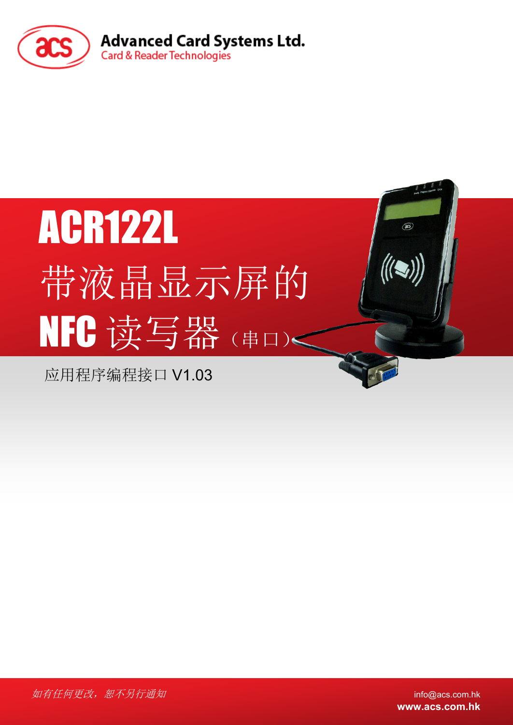

# ACR122L 带液晶显示屏的 NFC 读写器(串口)<

应用程序编程接口 V1.03

如有任何更改,恕不另行通知 info@acs.com.hk

**www.acs.com.hk**

 $\circledast$ 

 $\left(\left(\bigcup_{i=1}^{n} a_i\right)\right)$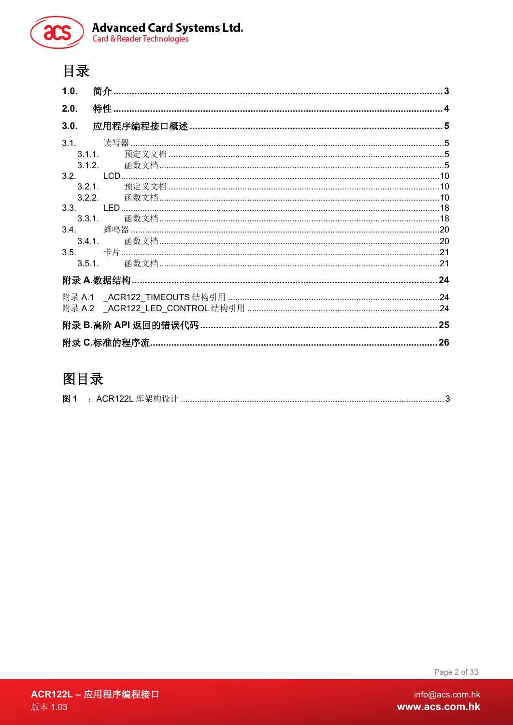

# 目录

| 1.0. |        |    |
|------|--------|----|
| 2.0. |        |    |
| 3.0. |        |    |
|      |        |    |
|      | 3.1.1. |    |
|      | 3.1.2  |    |
|      |        |    |
|      | 3.2.1. |    |
|      |        |    |
|      |        |    |
|      | 3.3.1. |    |
|      |        |    |
|      |        |    |
|      |        |    |
|      |        |    |
|      |        |    |
|      |        |    |
|      |        |    |
|      |        | 25 |
|      |        | 26 |
|      |        |    |

# 图目录

| 图 |  |  | ACR122L 库架构设+<br>- 一一大19 以 n ……. |  |
|---|--|--|----------------------------------|--|
|---|--|--|----------------------------------|--|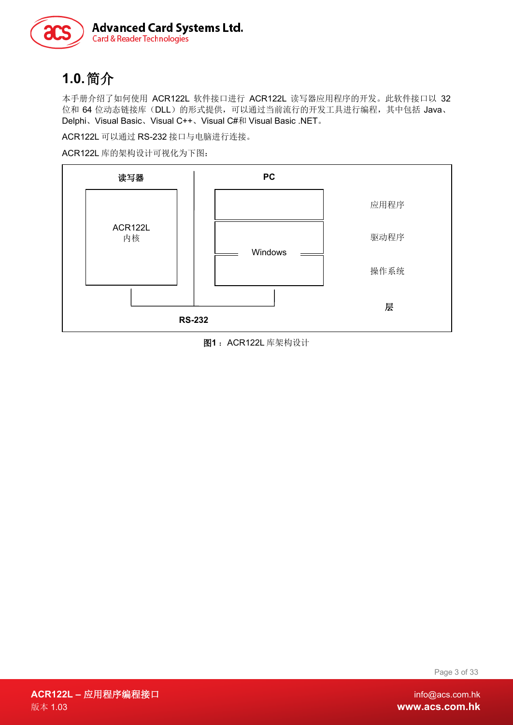

# <span id="page-2-0"></span>**1.0.**简介

本手册介绍了如何使用 ACR122L 软件接口进行 ACR122L 读写器应用程序的开发。此软件接口以 32 位和 64 位动态链接库(DLL)的形式提供,可以通过当前流行的开发工具进行编程,其中包括 Java、 Delphi、Visual Basic、Visual C++、Visual C#和 Visual Basic .NET。

ACR122L 可以通过 RS-232 接口与电脑进行连接。

ACR122L 库的架构设计可视化为下图:



<span id="page-2-1"></span>图**1** :ACR122L 库架构设计

Page 3 of 33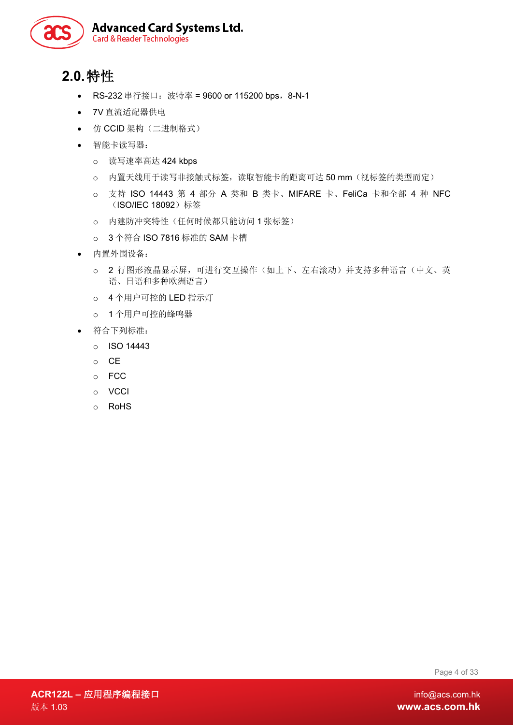

# <span id="page-3-0"></span>**2.0.**特性

- RS-232 串行接口: 波特率 = 9600 or 115200 bps, 8-N-1
- 7V 直流适配器供电
- 仿 CCID 架构(二进制格式)
- 智能卡读写器:
	- o 读写速率高达 424 kbps
	- o 内置天线用于读写非接触式标签,读取智能卡的距离可达 50 mm(视标签的类型而定)
	- o 支持 ISO 14443 第 4 部分 A 类和 B 类卡、MIFARE 卡、FeliCa 卡和全部 4 种 NFC (ISO/IEC 18092)标签
	- o 内建防冲突特性(任何时候都只能访问 1 张标签)
	- o 3 个符合 ISO 7816 标准的 SAM 卡槽
- 内置外围设备:
	- o 2 行图形液晶显示屏,可进行交互操作(如上下、左右滚动)并支持多种语言(中文、英 语、日语和多种欧洲语言)
	- o 4 个用户可控的 LED 指示灯
	- o 1 个用户可控的蜂鸣器
- 符合下列标准:
	- o ISO 14443
	- o CE
	- o FCC
	- o VCCI
	- o RoHS

Page 4 of 33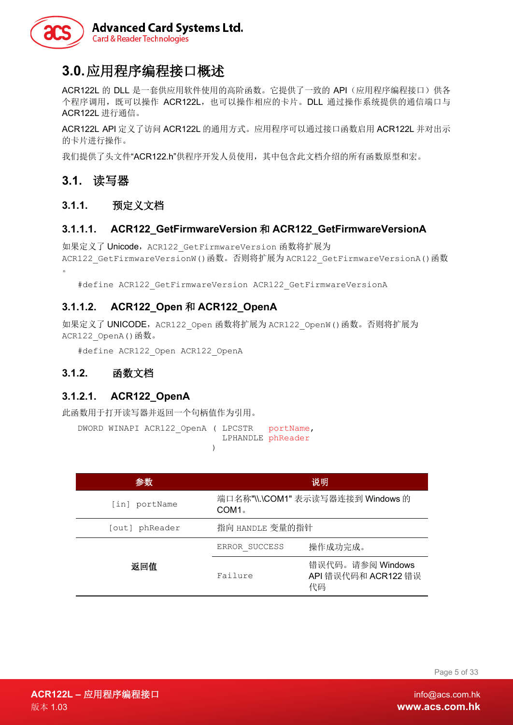

### <span id="page-4-0"></span>**3.0.**应用程序编程接口概述

ACR122L 的 DLL 是一套供应用软件使用的高阶函数。它提供了一致的 API(应用程序编程接口)供各 个程序调用,既可以操作 ACR122L,也可以操作相应的卡片。DLL 通过操作系统提供的通信端口与 ACR122L 进行通信。

ACR122L API 定义了访问 ACR122L 的通用方式。应用程序可以通过接口函数启用 ACR122L 并对出示 的卡片进行操作。

我们提供了头文件"ACR122.h"供程序开发人员使用,其中包含此文档介绍的所有函数原型和宏。

### <span id="page-4-1"></span>**3.1.** 读写器

### <span id="page-4-2"></span>**3.1.1.** 预定义文档

#### **3.1.1.1. ACR122\_GetFirmwareVersion** 和 **ACR122\_GetFirmwareVersionA**

如果定义了 Unicode, ACR122 GetFirmwareVersion 函数将扩展为 ACR122\_GetFirmwareVersionW()函数。否则将扩展为 ACR122\_GetFirmwareVersionA()函数 。

#define ACR122\_GetFirmwareVersion ACR122\_GetFirmwareVersionA

### **3.1.1.2. ACR122\_Open** 和 **ACR122\_OpenA**

如果定义了 UNICODE, ACR122\_Open 函数将扩展为 ACR122\_OpenW()函数。否则将扩展为 ACR122 OpenA()函数。

#define ACR122\_Open ACR122\_OpenA

### <span id="page-4-3"></span>**3.1.2.** 函数文档

#### **3.1.2.1. ACR122\_OpenA**

此函数用于打开读写器并返回一个句柄值作为引用。

DWORD WINAPI ACR122 OpenA ( LPCSTR portName, LPHANDLE phReader  $)$ 

| 参数             |                                                        | 说明                                            |
|----------------|--------------------------------------------------------|-----------------------------------------------|
| [in] portName  | 端口名称"\\.\COM1" 表示读写器连接到 Windows 的<br>COM1 <sub>°</sub> |                                               |
| [out] phReader | 指向 HANDLE 变量的指针                                        |                                               |
|                | ERROR SUCCESS                                          | 操作成功完成。                                       |
| 返回值            | Failure                                                | 错误代码。请参阅 Windows<br>API 错误代码和 ACR122 错误<br>代码 |

Page 5 of 33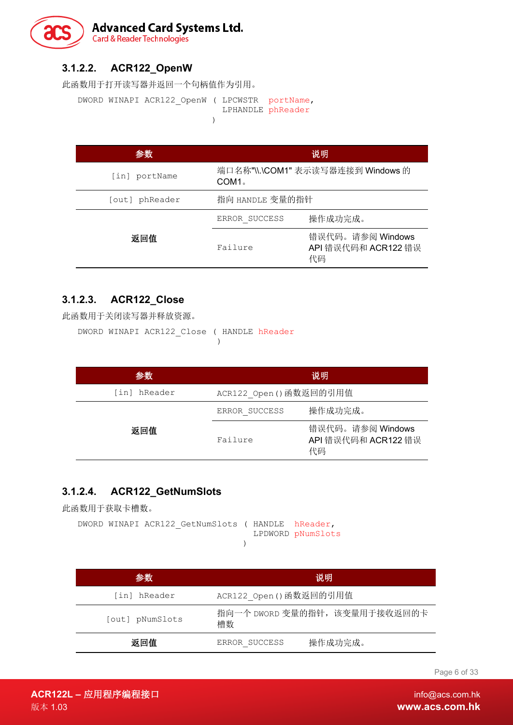

### **3.1.2.2. ACR122\_OpenW**

此函数用于打开读写器并返回一个句柄值作为引用。

DWORD WINAPI ACR122\_OpenW ( LPCWSTR portName, LPHANDLE phReader  $)$ 

| 参数             | 说明                |                                               |
|----------------|-------------------|-----------------------------------------------|
| [in] portName  | COM1 <sub>°</sub> | 端口名称"\\.\COM1" 表示读写器连接到 Windows 的             |
| [out] phReader | 指向 HANDLE 变量的指针   |                                               |
|                | ERROR SUCCESS     | 操作成功完成。                                       |
| 返回值            | Failure           | 错误代码。请参阅 Windows<br>API 错误代码和 ACR122 错误<br>代码 |

### **3.1.2.3. ACR122\_Close**

此函数用于关闭读写器并释放资源。

DWORD WINAPI ACR122\_Close ( HANDLE hReader )

| 参数              |                         | 说明                                            |
|-----------------|-------------------------|-----------------------------------------------|
| hReader<br>[in] | ACR122 Open () 函数返回的引用值 |                                               |
|                 | ERROR SUCCESS           | 操作成功完成。                                       |
| 返回值             | Failure                 | 错误代码。请参阅 Windows<br>API 错误代码和 ACR122 错误<br>代码 |

### **3.1.2.4. ACR122\_GetNumSlots**

此函数用于获取卡槽数。

```
DWORD WINAPI ACR122_GetNumSlots ( HANDLE hReader, 
                       LPDWORD pNumSlots
)
```

| 参数              | 说明                                  |  |
|-----------------|-------------------------------------|--|
| [in] hReader    | ACR122 Open () 函数返回的引用值             |  |
| [out] pNumSlots | 指向一个 DWORD 变量的指针, 该变量用于接收返回的卡<br>槽数 |  |
| 返回值             | 操作成功完成。<br>ERROR SUCCESS            |  |

Page 6 of 33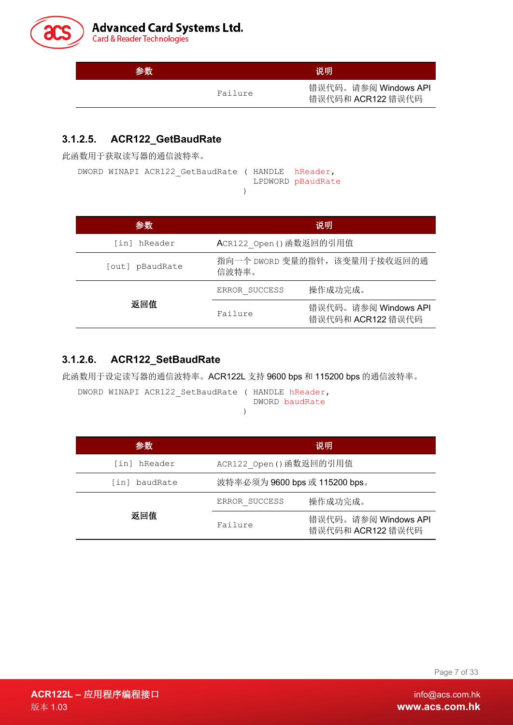

| 参数 |         | 说明                                        |
|----|---------|-------------------------------------------|
|    | Failure | 错误代码。请参阅 Windows API<br>错误代码和 ACR122 错误代码 |

### **3.1.2.5. ACR122\_GetBaudRate**

此函数用于获取读写器的通信波特率。

|  | DWORD WINAPI ACR122 GetBaudRate ( HANDLE hReader, |  |                   |
|--|---------------------------------------------------|--|-------------------|
|  |                                                   |  | LPDWORD pBaudRate |
|  |                                                   |  |                   |

| 参数              |                                        | 说明                                        |  |
|-----------------|----------------------------------------|-------------------------------------------|--|
| [in] hReader    | ACR122 Open () 函数返回的引用值                |                                           |  |
| [out] pBaudRate | 指向一个 DWORD 变量的指针, 该变量用于接收返回的通<br>信波特率。 |                                           |  |
|                 | ERROR SUCCESS                          | 操作成功完成。                                   |  |
| 返回值             | Failure                                | 错误代码。请参阅 Windows API<br>错误代码和 ACR122 错误代码 |  |

### **3.1.2.6. ACR122\_SetBaudRate**

此函数用于设定读写器的通信波特率。ACR122L 支持 9600 bps 和 115200 bps 的通信波特率。

DWORD WINAPI ACR122 SetBaudRate ( HANDLE hReader, DWORD baudRate )

| 参数            | 说明                            |                                           |
|---------------|-------------------------------|-------------------------------------------|
| [in] hReader  | ACR122 Open () 函数返回的引用值       |                                           |
| [in] baudRate | 波特率必须为 9600 bps 或 115200 bps。 |                                           |
|               | ERROR SUCCESS                 | 操作成功完成。                                   |
| 返回值           | Failure                       | 错误代码。请参阅 Windows API<br>错误代码和 ACR122 错误代码 |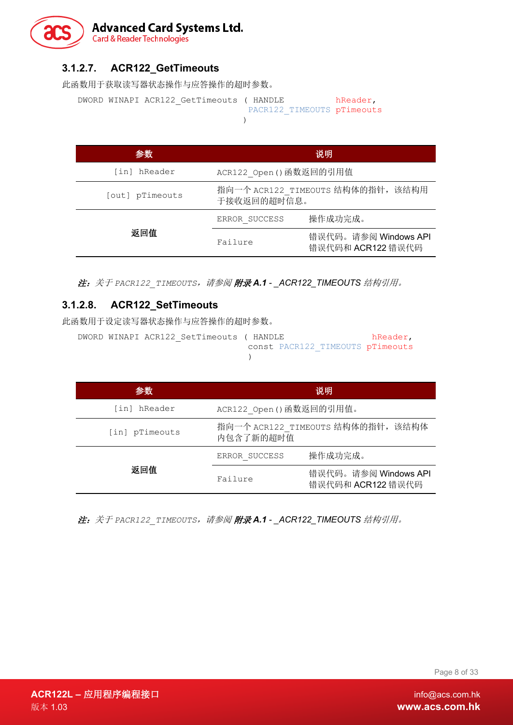

### **3.1.2.7. ACR122\_GetTimeouts**

此函数用于获取读写器状态操作与应答操作的超时参数。

```
DWORD WINAPI ACR122_GetTimeouts ( HANDLE hReader,
                     PACR122_TIMEOUTS pTimeouts
 )
```

| 参数              | 说明                                               |                                           |
|-----------------|--------------------------------------------------|-------------------------------------------|
| [in] hReader    | ACR122 Open () 函数返回的引用值                          |                                           |
| [out] pTimeouts | 指向一个 ACR122 TIMEOUTS 结构体的指针, 该结构用<br>于接收返回的超时信息。 |                                           |
|                 | ERROR SUCCESS                                    | 操作成功完成。                                   |
| 返回值             | Failure                                          | 错误代码。请参阅 Windows API<br>错误代码和 ACR122 错误代码 |

注:关于 *PACR122\_TIMEOUTS*,请参阅 [附录](#page-23-1) *A.1 - \_ACR122\_TIMEOUTS* 结构引用。

### **3.1.2.8. ACR122\_SetTimeouts**

此函数用于设定读写器状态操作与应答操作的超时参数。

```
DWORD WINAPI ACR122 SetTimeouts ( HANDLE hReader,
                            const PACR122_TIMEOUTS pTimeouts
                            )
```

| 参数             | 说明                                             |                                           |  |
|----------------|------------------------------------------------|-------------------------------------------|--|
| [in] hReader   | ACR122 Open () 函数返回的引用值。                       |                                           |  |
| [in] pTimeouts | 指向一个 ACR122 TIMEOUTS 结构体的指针, 该结构体<br>内包含了新的超时值 |                                           |  |
|                | ERROR SUCCESS                                  | 操作成功完成。                                   |  |
| 返回值            | Failure                                        | 错误代码。请参阅 Windows API<br>错误代码和 ACR122 错误代码 |  |

注:关于 *PACR122\_TIMEOUTS*,请参阅 [附录](#page-23-1) *A.1 - \_ACR122\_TIMEOUTS* 结构引用。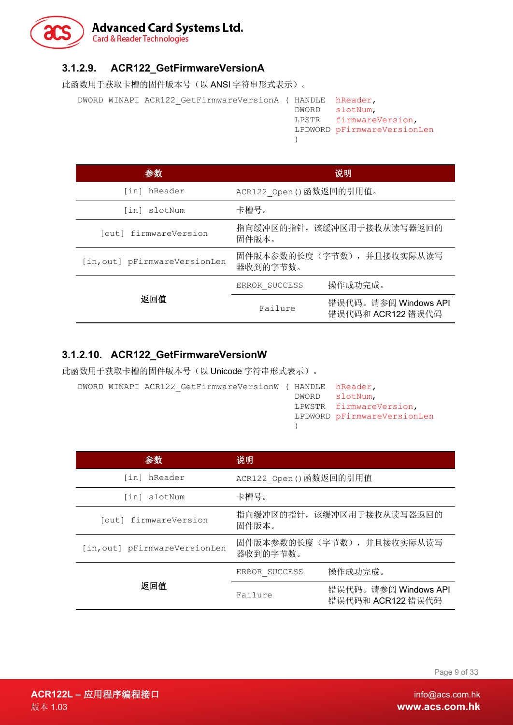# **Advanced Card Systems Ltd.**<br>Card & Reader Technologies

### **3.1.2.9. ACR122\_GetFirmwareVersionA**

此函数用于获取卡槽的固件版本号(以 ANSI 字符串形式表示)。

```
DWORD WINAPI ACR122 GetFirmwareVersionA ( HANDLE hReader,
                                         DWORD slotNum,
                                         LPSTR firmwareVersion,
                                         LPDWORD pFirmwareVersionLen
                                         )
```

| 参数                            | 说明                                    |                                           |  |  |
|-------------------------------|---------------------------------------|-------------------------------------------|--|--|
| [in] hReader                  | ACR122 Open()函数返回的引用值。                |                                           |  |  |
| [in] slotNum                  | 卡槽号。                                  |                                           |  |  |
| [out] firmwareVersion         | 指向缓冲区的指针, 该缓冲区用于接收从读写器返回的<br>固件版本。    |                                           |  |  |
| [in, out] pFirmwareVersionLen | 固件版本参数的长度(字节数), 并且接收实际从读写<br>器收到的字节数。 |                                           |  |  |
|                               | ERROR SUCCESS                         | 操作成功完成。                                   |  |  |
| 返回值                           | Failure                               | 错误代码。请参阅 Windows API<br>错误代码和 ACR122 错误代码 |  |  |

### **3.1.2.10. ACR122\_GetFirmwareVersionW**

此函数用于获取卡槽的固件版本号(以 Unicode 字符串形式表示)。

|  | DWORD WINAPI ACR122 GetFirmwareVersionW ( HANDLE hReader, |  |                             |
|--|-----------------------------------------------------------|--|-----------------------------|
|  |                                                           |  | DWORD slotNum,              |
|  |                                                           |  | LPWSTR firmwareVersion,     |
|  |                                                           |  | LPDWORD pFirmwareVersionLen |
|  |                                                           |  |                             |

| 参数                            | 说明                                    |                                           |  |
|-------------------------------|---------------------------------------|-------------------------------------------|--|
| [in] hReader                  | ACR122 Open () 函数返回的引用值               |                                           |  |
| [in] slotNum                  | 卡槽号。                                  |                                           |  |
| [out] firmwareVersion         | 指向缓冲区的指针, 该缓冲区用于接收从读写器返回的<br>固件版本。    |                                           |  |
| [in, out] pFirmwareVersionLen | 固件版本参数的长度(字节数), 并且接收实际从读写<br>器收到的字节数。 |                                           |  |
|                               | ERROR SUCCESS                         | 操作成功完成。                                   |  |
| 返回值                           | Failure                               | 错误代码。请参阅 Windows API<br>错误代码和 ACR122 错误代码 |  |

Page 9 of 33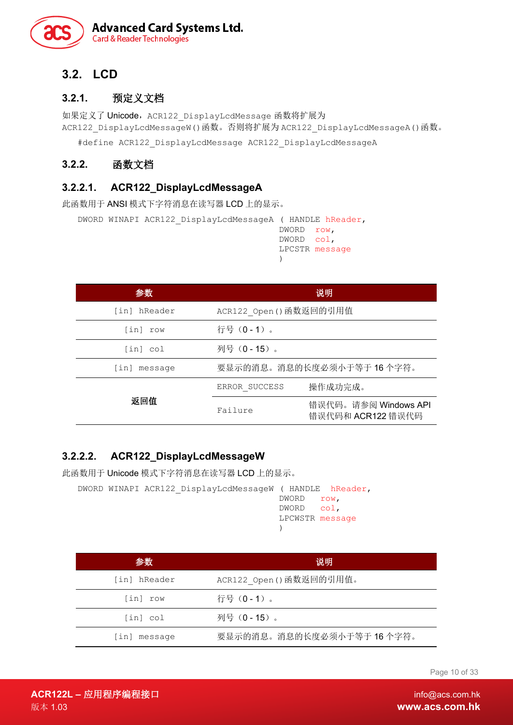

### <span id="page-9-0"></span>**3.2. LCD**

### <span id="page-9-1"></span>**3.2.1.** 预定义文档

如果定义了 Unicode, ACR122 DisplayLcdMessage 函数将扩展为 ACR122\_DisplayLcdMessageW()函数。否则将扩展为 ACR122\_DisplayLcdMessageA()函数。

#define ACR122\_DisplayLcdMessage ACR122\_DisplayLcdMessageA

### <span id="page-9-2"></span>**3.2.2.** 函数文档

### **3.2.2.1. ACR122\_DisplayLcdMessageA**

此函数用于 ANSI 模式下字符消息在读写器 LCD 上的显示。

```
DWORD WINAPI ACR122_DisplayLcdMessageA ( HANDLE hReader,
                                       DWORD row,
                                       DWORD col,
                                       LPCSTR message
                                       )
```

| 参数           | 说明                      |                                           |  |  |
|--------------|-------------------------|-------------------------------------------|--|--|
| [in] hReader | ACR122 Open () 函数返回的引用值 |                                           |  |  |
| [in] row     | 行号 (0-1)。               |                                           |  |  |
| [in] col     | 列号 (0 - 15)。            |                                           |  |  |
| [in] message |                         | 要显示的消息。消息的长度必须小于等于16个字符。                  |  |  |
|              | ERROR SUCCESS           | 操作成功完成。                                   |  |  |
| 返回值          | Failure                 | 错误代码。请参阅 Windows API<br>错误代码和 ACR122 错误代码 |  |  |

### **3.2.2.2. ACR122\_DisplayLcdMessageW**

此函数用于 Unicode 模式下字符消息在读写器 LCD 上的显示。

```
DWORD WINAPI ACR122_DisplayLcdMessageW ( HANDLE hReader,
                                      DWORD row,
                                      DWORD col,
                                      LPCWSTR message
                                      )
```

| 参数                            | 说明                       |
|-------------------------------|--------------------------|
| [in] hReader                  | ACR122 Open()函数返回的引用值。   |
| [in] row                      | 行号 (0 - 1)。              |
| $\lceil \text{in} \rceil$ col | 列号 (0-15)。               |
| [in] message                  | 要显示的消息。消息的长度必须小于等于16个字符。 |

Page 10 of 33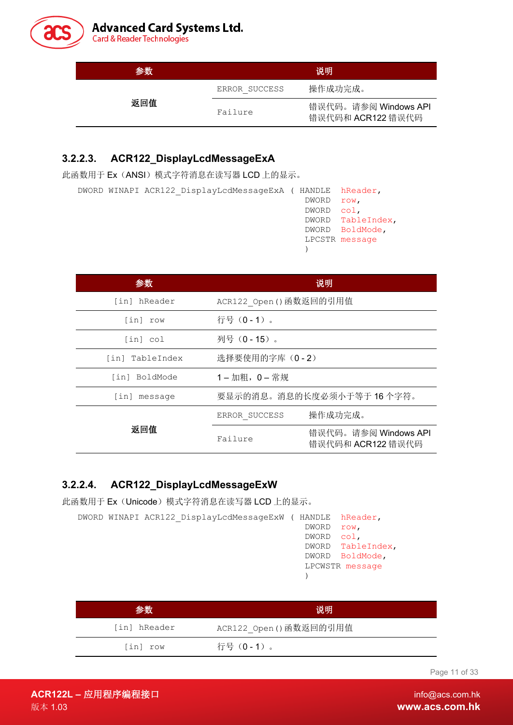

| 参数  |               | 说明                                        |
|-----|---------------|-------------------------------------------|
|     | ERROR SUCCESS | 操作成功完成。                                   |
| 返回值 | Failure       | 错误代码。请参阅 Windows API<br>错误代码和 ACR122 错误代码 |

### **3.2.2.3. ACR122\_DisplayLcdMessageExA**

此函数用于 Ex(ANSI)模式字符消息在读写器 LCD 上的显示。

| DWORD WINAPI ACR122 DisplayLcdMessaqeExA (HANDLE hReader, |            |                   |
|-----------------------------------------------------------|------------|-------------------|
|                                                           | DWORD row, |                   |
|                                                           | DWORD col. |                   |
|                                                           |            | DWORD TableIndex, |
|                                                           |            | DWORD BoldMode,   |

| 参数              | 说明                      |                                           |  |
|-----------------|-------------------------|-------------------------------------------|--|
| [in] hReader    | ACR122 Open () 函数返回的引用值 |                                           |  |
| [in] row        | 行号 (0-1)。               |                                           |  |
| [in] col        | 列号 (0 - 15)。            |                                           |  |
| [in] TableIndex | 选择要使用的字库 (0-2)          |                                           |  |
| [in] BoldMode   | 1-加粗, 0-常规              |                                           |  |
| [in] message    |                         | 要显示的消息。消息的长度必须小于等于16个字符。                  |  |
|                 | ERROR SUCCESS           | 操作成功完成。                                   |  |
| 返回值             | Failure                 | 错误代码。请参阅 Windows API<br>错误代码和 ACR122 错误代码 |  |

LPCSTR message

)

### **3.2.2.4. ACR122\_DisplayLcdMessageExW**

此函数用于 Ex(Unicode)模式字符消息在读写器 LCD 上的显示。

|  |  | DWORD WINAPI ACR122 DisplayLcdMessaqeExW ( HANDLE hReader, |            |                   |
|--|--|------------------------------------------------------------|------------|-------------------|
|  |  |                                                            | DWORD      | row.              |
|  |  |                                                            | DWORD col. |                   |
|  |  |                                                            |            | DWORD TableIndex, |
|  |  |                                                            |            | DWORD BoldMode,   |
|  |  |                                                            |            | LPCWSTR message   |
|  |  |                                                            |            |                   |

| 参数           | 说明                      |
|--------------|-------------------------|
| [in] hReader | ACR122_Open () 函数返回的引用值 |
| [in] row     | 行号 (0-1)。               |

Page 11 of 33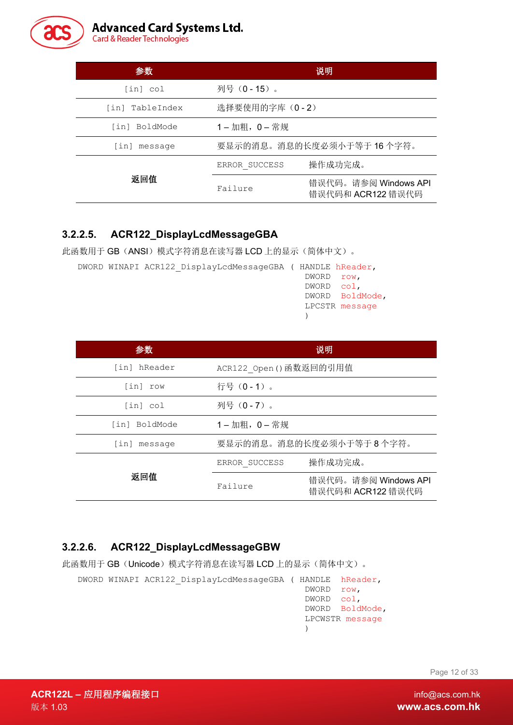

| 参数              | 说明                      |                                           |  |
|-----------------|-------------------------|-------------------------------------------|--|
| [in] col        | 列号 (0 - 15)。            |                                           |  |
| [in] TableIndex | 选择要使用的字库 (0-2)          |                                           |  |
| [in] BoldMode   | $1 - m$ 粗, $0 - \n\#$ 规 |                                           |  |
| [in] message    |                         | 要显示的消息。消息的长度必须小于等于16个字符。                  |  |
|                 | ERROR SUCCESS           | 操作成功完成。                                   |  |
| 返回值             | Failure                 | 错误代码。请参阅 Windows API<br>错误代码和 ACR122 错误代码 |  |

### **3.2.2.5. ACR122\_DisplayLcdMessageGBA**

此函数用于 GB (ANSI) 模式字符消息在读写器 LCD 上的显示(简体中文)。

| DWORD WINAPI ACR122 DisplayLcdMessageGBA ( HANDLE hReader, |            |                 |
|------------------------------------------------------------|------------|-----------------|
|                                                            | DWORD row, |                 |
|                                                            | DWORD col, |                 |
|                                                            |            | DWORD BoldMode, |
|                                                            |            | LPCSTR message  |
|                                                            |            |                 |

| 参数            | 说明            |                                           |  |
|---------------|---------------|-------------------------------------------|--|
| [in] hReader  |               | ACR122 Open () 函数返回的引用值                   |  |
| [in] row      | 行号 (0-1)。     |                                           |  |
| [in] col      | 列号 (0-7)。     |                                           |  |
| [in] BoldMode | 1-加粗, 0-常规    |                                           |  |
| [in] message  |               | 要显示的消息。消息的长度必须小于等于8个字符。                   |  |
|               | ERROR SUCCESS | 操作成功完成。                                   |  |
| 返回值           | Failure       | 错误代码。请参阅 Windows API<br>错误代码和 ACR122 错误代码 |  |

### **3.2.2.6. ACR122\_DisplayLcdMessageGBW**

此函数用于 GB(Unicode)模式字符消息在读写器 LCD 上的显示(简体中文)。

DWORD WINAPI ACR122\_DisplayLcdMessageGBA ( HANDLE hReader, DWORD row, DWORD col, DWORD BoldMode, LPCWSTR message )

Page 12 of 33

**ACR122L –** 应用程序编程接口 info@acs.com.hk 版本 1.03 **www.acs.com.hk**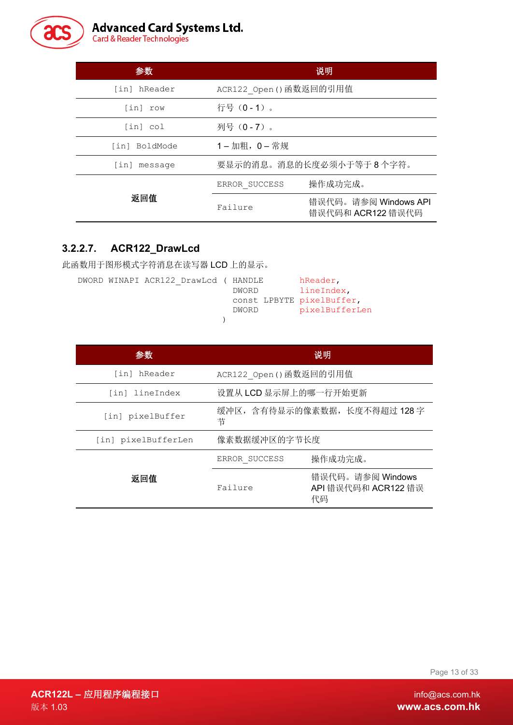

# **Advanced Card Systems Ltd.**<br>Card & Reader Technologies

| 参数            | 说明                      |                                           |
|---------------|-------------------------|-------------------------------------------|
| [in] hReader  | ACR122 Open () 函数返回的引用值 |                                           |
| [in] row      | 行号 (0-1)。               |                                           |
| [in] col      | 列号(0 - 7)。              |                                           |
| [in] BoldMode | 1-加粗, 0-常规              |                                           |
| [in] message  | 要显示的消息。消息的长度必须小于等于8个字符。 |                                           |
|               | ERROR SUCCESS           | 操作成功完成。                                   |
| 返回值           | Failure                 | 错误代码。请参阅 Windows API<br>错误代码和 ACR122 错误代码 |

### **3.2.2.7. ACR122\_DrawLcd**

此函数用于图形模式字符消息在读写器 LCD 上的显示。

|  | DWORD WINAPI ACR122 DrawLcd ( HANDLE |                           | hReader,       |
|--|--------------------------------------|---------------------------|----------------|
|  |                                      | DWORD                     | lineIndex,     |
|  |                                      | const LPBYTE pixelBuffer, |                |
|  |                                      | DWORD                     | pixelBufferLen |
|  |                                      |                           |                |

| 参数                  |                         | 说明                                            |  |
|---------------------|-------------------------|-----------------------------------------------|--|
| [in] hReader        | ACR122 Open () 函数返回的引用值 |                                               |  |
| [in] lineIndex      |                         | 设置从 LCD 显示屏上的哪一行开始更新                          |  |
| [in] pixelBuffer    | 节                       | 缓冲区, 含有待显示的像素数据, 长度不得超过 128字                  |  |
| [in] pixelBufferLen | 像素数据缓冲区的字节长度            |                                               |  |
|                     | ERROR SUCCESS           | 操作成功完成。                                       |  |
| 返回值                 | Failure                 | 错误代码。请参阅 Windows<br>API 错误代码和 ACR122 错误<br>代码 |  |

Page 13 of 33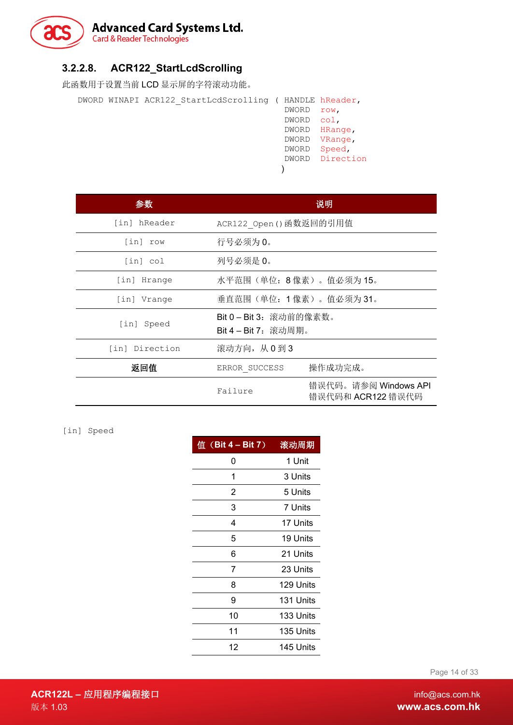

### **3.2.2.8. ACR122\_StartLcdScrolling**

此函数用于设置当前 LCD 显示屏的字符滚动功能。

| DWORD WINAPI ACR122 StartLcdScrolling ( HANDLE hReader, |       |                 |
|---------------------------------------------------------|-------|-----------------|
|                                                         | DWORD | row,            |
|                                                         | DWORD | col.            |
|                                                         |       | DWORD HRange,   |
|                                                         | DWORD | VRange,         |
|                                                         | DWORD | Speed,          |
|                                                         |       | DWORD Direction |
|                                                         |       |                 |
|                                                         |       |                 |

| 参数             |                                               | 说明                                        |
|----------------|-----------------------------------------------|-------------------------------------------|
| [in] hReader   | ACR122 Open () 函数返回的引用值                       |                                           |
| [in] row       | 行号必须为0。                                       |                                           |
| [in] col       | 列号必须是 0。                                      |                                           |
| [in] Hrange    | 水平范围(单位: 8像素)。值必须为15。                         |                                           |
| [in] Vrange    | 垂直范围(单位:1像素)。值必须为31。                          |                                           |
| [in] Speed     | Bit 0-Bit 3: 滚动前的像素数。<br>Bit 4 - Bit 7: 滚动周期。 |                                           |
| [in] Direction | 滚动方向, 从0到3                                    |                                           |
| 返回值            | ERROR SUCCESS                                 | 操作成功完成。                                   |
|                | Failure                                       | 错误代码。请参阅 Windows API<br>错误代码和 ACR122 错误代码 |

[in] Speed

| 值 $(Bit 4 - Bit 7)$ | 滚动周期      |
|---------------------|-----------|
| 0                   | 1 Unit    |
| 1                   | 3 Units   |
| 2                   | 5 Units   |
| 3                   | 7 Units   |
| 4                   | 17 Units  |
| 5                   | 19 Units  |
| 6                   | 21 Units  |
| 7                   | 23 Units  |
| 8                   | 129 Units |
| 9                   | 131 Units |
| 10                  | 133 Units |
| 11                  | 135 Units |
| 12                  | 145 Units |

Page 14 of 33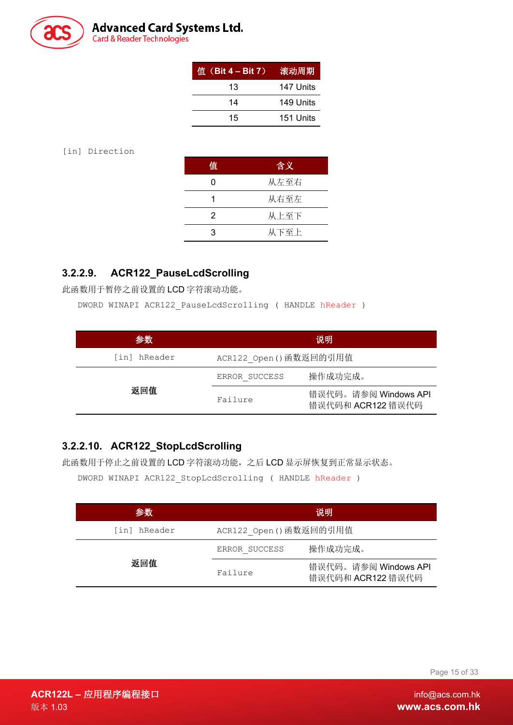

# **Advanced Card Systems Ltd.**<br>Card & Reader Technologies

| 值 $(Bit 4 - Bit 7)$ | 滚动周期      |
|---------------------|-----------|
| 13                  | 147 Units |
| 14                  | 149 Units |
| 15                  | 151 Units |

[in] Direction

| 值 | 含义   |
|---|------|
|   | 从左至右 |
|   | 从右至左 |
| 2 | 从上至下 |
| З | 从下至上 |

### **3.2.2.9. ACR122\_PauseLcdScrolling**

此函数用于暂停之前设置的 LCD 字符滚动功能。

DWORD WINAPI ACR122\_PauseLcdScrolling ( HANDLE hReader )

| 参数           | 说明                      |                                           |
|--------------|-------------------------|-------------------------------------------|
| [in] hReader | ACR122 Open () 函数返回的引用值 |                                           |
|              | ERROR SUCCESS           | 操作成功完成。                                   |
| 返回值          | Failure                 | 错误代码。请参阅 Windows API<br>错误代码和 ACR122 错误代码 |

### **3.2.2.10. ACR122\_StopLcdScrolling**

此函数用于停止之前设置的 LCD 字符滚动功能,之后 LCD 显示屏恢复到正常显示状态。

DWORD WINAPI ACR122 StopLcdScrolling ( HANDLE hReader )

| 参数           | 说明                      |                                           |
|--------------|-------------------------|-------------------------------------------|
| [in] hReader | ACR122 Open () 函数返回的引用值 |                                           |
|              | ERROR SUCCESS           | 操作成功完成。                                   |
| 返回值          | Failure                 | 错误代码。请参阅 Windows API<br>错误代码和 ACR122 错误代码 |

Page 15 of 33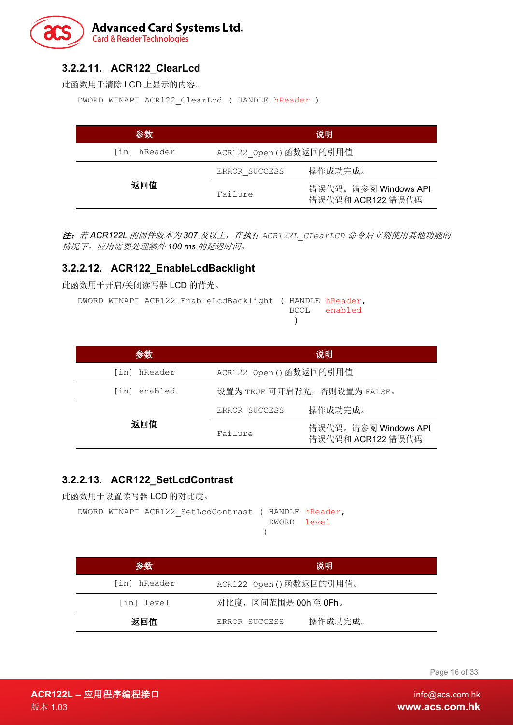### **Advanced Card Systems Ltd. Card & Reader Technologies**

### **3.2.2.11. ACR122\_ClearLcd**

此函数用于清除 LCD 上显示的内容。

DWORD WINAPI ACR122\_ClearLcd ( HANDLE hReader )

| 参数           | 说明                      |                                           |
|--------------|-------------------------|-------------------------------------------|
| [in] hReader | ACR122 Open () 函数返回的引用值 |                                           |
| 返回值          | ERROR SUCCESS           | 操作成功完成。                                   |
|              | Failure                 | 错误代码。请参阅 Windows API<br>错误代码和 ACR122 错误代码 |

注:若 *ACR122L* 的固件版本为 *307* 及以上,在执行 *ACR122L\_CLearLCD* 命令后立刻使用其他功能的 情况下,应用需要处理额外 *100 ms* 的延迟时间。

### **3.2.2.12. ACR122\_EnableLcdBacklight**

此函数用于开启/关闭读写器 LCD 的背光。

DWORD WINAPI ACR122\_EnableLcdBacklight ( HANDLE hReader, BOOL enabled  $\lambda$ 

| 参数           | 说明                           |                                           |  |  |
|--------------|------------------------------|-------------------------------------------|--|--|
| [in] hReader | ACR122 Open () 函数返回的引用值      |                                           |  |  |
| [in] enabled | 设置为 TRUE 可开启背光, 否则设置为 FALSE。 |                                           |  |  |
|              | ERROR SUCCESS                | 操作成功完成。                                   |  |  |
| 返回值          | Failure                      | 错误代码。请参阅 Windows API<br>错误代码和 ACR122 错误代码 |  |  |

### **3.2.2.13. ACR122\_SetLcdContrast**

此函数用于设置读写器 LCD 的对比度。

```
DWORD WINAPI ACR122_SetLcdContrast ( HANDLE hReader,
                                      DWORD level
                                     )
```

| 参数           | 说明                       |  |  |
|--------------|--------------------------|--|--|
| [in] hReader | ACR122 Open ()函数返回的引用值。  |  |  |
| [in] level   | 对比度, 区间范围是 00h 至 0Fh。    |  |  |
| 返回值          | 操作成功完成。<br>ERROR SUCCESS |  |  |

Page 16 of 33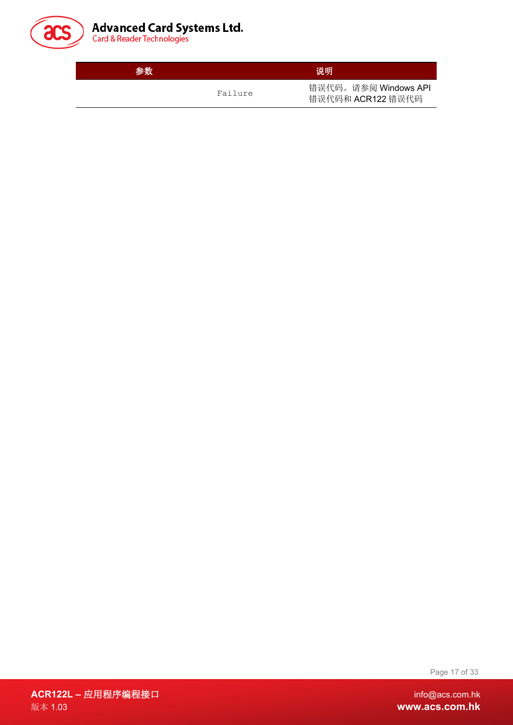

| <b>Advanced Card Systems Ltd.</b> |  |  |
|-----------------------------------|--|--|
| Card & Reader Technologies        |  |  |

参数 说明 Failure 错误代码。请参阅 Windows API 错误代码和 ACR122 错误代码

Page 17 of 33

**ACR122L –** 应用程序编程接口 info@acs.com.hk 版本 1.03 **www.acs.com.hk**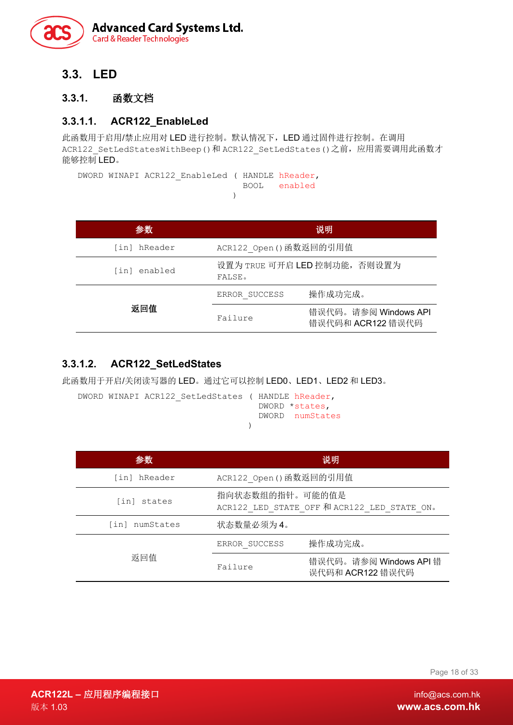

### <span id="page-17-0"></span>**3.3. LED**

### <span id="page-17-1"></span>**3.3.1.** 函数文档

### **3.3.1.1. ACR122\_EnableLed**

此函数用于启用/禁止应用对 LED 进行控制。默认情况下,LED 通过固件进行控制。在调用 ACR122 SetLedStatesWithBeep()和 ACR122 SetLedStates()之前,应用需要调用此函数才 能够控制 LED。

DWORD WINAPI ACR122 EnableLed ( HANDLE hReader, BOOL enabled )

| 参数           |                                        | 说明                                        |  |  |
|--------------|----------------------------------------|-------------------------------------------|--|--|
| [in] hReader | ACR122 Open () 函数返回的引用值                |                                           |  |  |
| [in] enabled | 设置为 TRUE 可开启 LED 控制功能, 否则设置为<br>FALSE. |                                           |  |  |
|              | ERROR SUCCESS                          | 操作成功完成。                                   |  |  |
| 返回值          | Failure                                | 错误代码。请参阅 Windows API<br>错误代码和 ACR122 错误代码 |  |  |

### **3.3.1.2. ACR122\_SetLedStates**

此函数用于开启/关闭读写器的 LED。通过它可以控制 LED0、LED1、LED2 和 LED3。

|  | DWORD WINAPI ACR122 SetLedStates ( HANDLE hReader, |  |                 |
|--|----------------------------------------------------|--|-----------------|
|  |                                                    |  | DWORD *states,  |
|  |                                                    |  | DWORD numStates |
|  |                                                    |  |                 |

| 参数                | 说明                                                             |                                            |  |  |
|-------------------|----------------------------------------------------------------|--------------------------------------------|--|--|
| [in] hReader      | ACR122 Open () 函数返回的引用值                                        |                                            |  |  |
| [in] states       | 指向状态数组的指针。可能的值是<br>ACR122 LED STATE OFF 和 ACR122 LED STATE ON。 |                                            |  |  |
| [in]<br>numStates | 状态数量必须为4。                                                      |                                            |  |  |
|                   | ERROR SUCCESS                                                  | 操作成功完成。                                    |  |  |
| 返回值               | Failure                                                        | 错误代码。请参阅 Windows API 错<br>误代码和 ACR122 错误代码 |  |  |

Page 18 of 33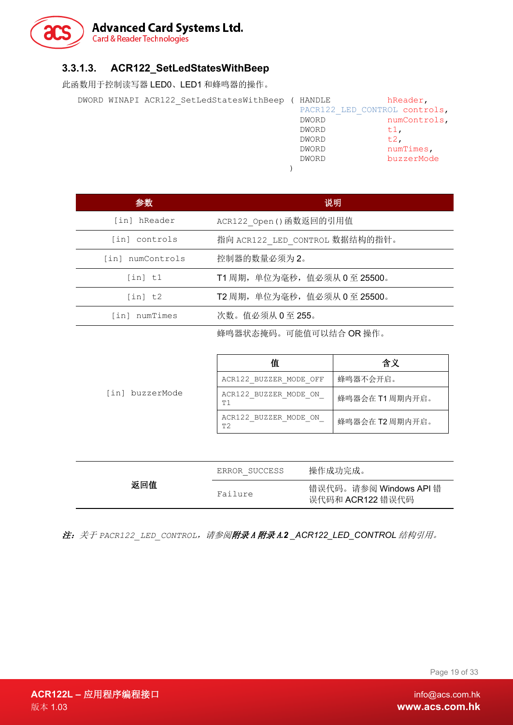

### **3.3.1.3. ACR122\_SetLedStatesWithBeep**

此函数用于控制读写器 LED0、LED1 和蜂鸣器的操作。

DWORD WINAPI ACR122 SetLedStatesWithBeep

|  | DWORD WINAPI ACR122 SetLedStatesWithBeep |  | HANDLE | hReader,                      |
|--|------------------------------------------|--|--------|-------------------------------|
|  |                                          |  |        | PACR122 LED CONTROL controls, |
|  |                                          |  | DWORD  | numControls,                  |
|  |                                          |  | DWORD  | tl,                           |
|  |                                          |  | DWORD  | $t.2$ .                       |
|  |                                          |  | DWORD  | numTimes,                     |
|  |                                          |  | DWORD  | buzzerMode                    |
|  |                                          |  |        |                               |

| 参数               | 说明                             |
|------------------|--------------------------------|
| [in] hReader     | ACR122 Open () 函数返回的引用值        |
| [in] controls    | 指向 ACR122 LED CONTROL 数据结构的指针。 |
| [in] numControls | 控制器的数量必须为2。                    |
| [in] t1          | T1 周期, 单位为毫秒, 值必须从 0 至 25500。  |
| [in] t2          | T2 周期, 单位为毫秒, 值必须从 0 至 25500。  |
| [in] numTimes    | 次数。值必须从 0至 255。                |

蜂鸣器状态掩码。可能值可以结合 OR 操作。

|                 | 值                                       | 含义              |  |
|-----------------|-----------------------------------------|-----------------|--|
|                 | ACR122 BUZZER MODE OFF                  | 蜂鸣器不会开启。        |  |
| [in] buzzerMode | ACR122 BUZZER MODE ON<br>T1             | 蜂鸣器会在 T1 周期内开启。 |  |
|                 | ACR122 BUZZER MODE ON<br>T <sub>2</sub> | 蜂鸣器会在 T2 周期内开启。 |  |

|     | ERROR SUCCESS | 操作成功完成。                                    |  |
|-----|---------------|--------------------------------------------|--|
| 返回值 | Failure       | 错误代码。请参阅 Windows API 错<br>误代码和 ACR122 错误代码 |  |

注:关于 *PACR122\_LED\_CONTROL*,请参[阅附录](#page-23-2) <sup>A</sup> 附录 <sup>A</sup>*.2 [\\_ACR122\\_LED\\_CONTROL](#page-23-2)* 结构引用。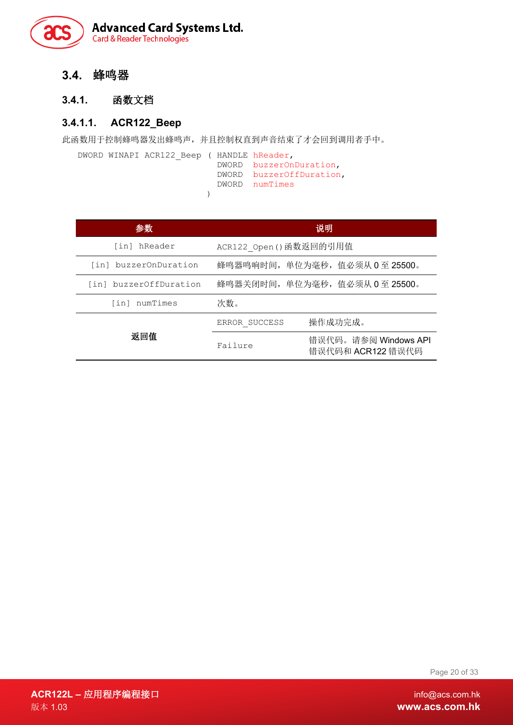

<span id="page-19-0"></span>**3.4.** 蜂鸣器

### <span id="page-19-1"></span>**3.4.1.** 函数文档

### **3.4.1.1. ACR122\_Beep**

此函数用于控制蜂鸣器发出蜂鸣声,并且控制权直到声音结束了才会回到调用者手中。

```
DWORD WINAPI ACR122_Beep ( HANDLE hReader,
DWORD buzzerOnDuration,
DWORD buzzerOffDuration,
               DWORD numTimes
)
```

| 参数                     | 说明                                                   |
|------------------------|------------------------------------------------------|
| [in] hReader           | ACR122 Open () 函数返回的引用值                              |
| [in] buzzerOnDuration  | 蜂鸣器鸣响时间,单位为毫秒,值必须从 0 至 25500。                        |
| [in] buzzerOffDuration | 蜂鸣器关闭时间,单位为毫秒,值必须从 0 至 25500。                        |
| [in] numTimes          | 次数。                                                  |
|                        | 操作成功完成。<br>ERROR SUCCESS                             |
| 返回值                    | 错误代码。请参阅 Windows API<br>Failure<br>错误代码和 ACR122 错误代码 |

Page 20 of 33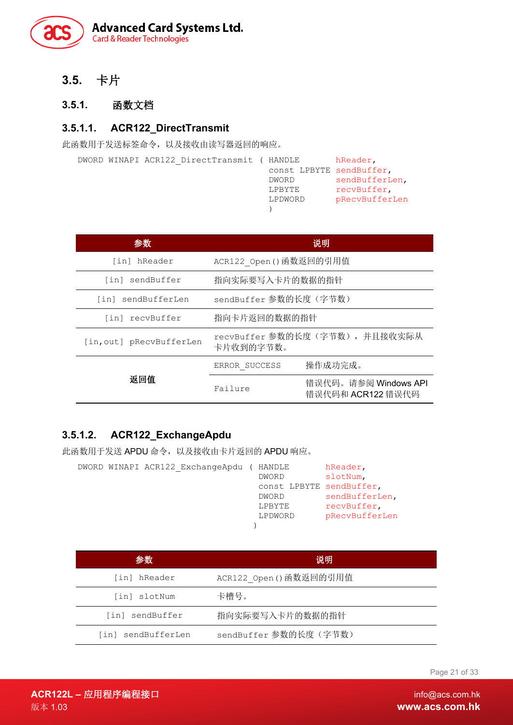

<span id="page-20-0"></span>**3.5.** 卡片

### <span id="page-20-1"></span>**3.5.1.** 函数文档

### **3.5.1.1. ACR122\_DirectTransmit**

此函数用于发送标签命令,以及接收由读写器返回的响应。

|  | DWORD WINAPI ACR122 DirectTransmit ( HANDLE |         | hReader,                 |
|--|---------------------------------------------|---------|--------------------------|
|  |                                             |         | const LPBYTE sendBuffer, |
|  |                                             | DWORD   | sendBufferLen,           |
|  |                                             | LPBYTE  | recvBuffer,              |
|  |                                             | LPDWORD | pRecvBufferLen           |
|  |                                             |         |                          |

| 参数                       | 说明                                          |                                           |  |
|--------------------------|---------------------------------------------|-------------------------------------------|--|
| [in] hReader             | ACR122 Open () 函数返回的引用值                     |                                           |  |
| [in] sendBuffer          | 指向实际要写入卡片的数据的指针                             |                                           |  |
| [in] sendBufferLen       | sendBuffer 参数的长度(字节数)                       |                                           |  |
| [in] recvBuffer          | 指向卡片返回的数据的指针                                |                                           |  |
| [in, out] pRecvBufferLen | recvBuffer 参数的长度(字节数), 并且接收实际从<br>卡片收到的字节数。 |                                           |  |
|                          | ERROR SUCCESS                               | 操作成功完成。                                   |  |
| 返回值                      | Failure                                     | 错误代码。请参阅 Windows API<br>错误代码和 ACR122 错误代码 |  |

### **3.5.1.2. ACR122\_ExchangeApdu**

此函数用于发送 APDU 命令,以及接收由卡片返回的 APDU 响应。

|  | DWORD WINAPI ACR122 ExchangeApdu | HANDLE       | hReader,                 |
|--|----------------------------------|--------------|--------------------------|
|  |                                  | <b>DWORD</b> | slotNum.                 |
|  |                                  |              | const LPBYTE sendBuffer, |
|  |                                  | DWORD        | sendBufferLen,           |
|  |                                  | LPBYTE       | recvBuffer,              |
|  |                                  | LPDWORD      | pRecvBufferLen           |
|  |                                  |              |                          |

| 参数                    | 说明                      |  |
|-----------------------|-------------------------|--|
| [in] hReader          | ACR122 Open () 函数返回的引用值 |  |
| [in] slotNum          | 卡槽号。                    |  |
| [in] sendBuffer       | 指向实际要写入卡片的数据的指针         |  |
| sendBufferLen<br>[in] | sendBuffer 参数的长度(字节数)   |  |

Page 21 of 33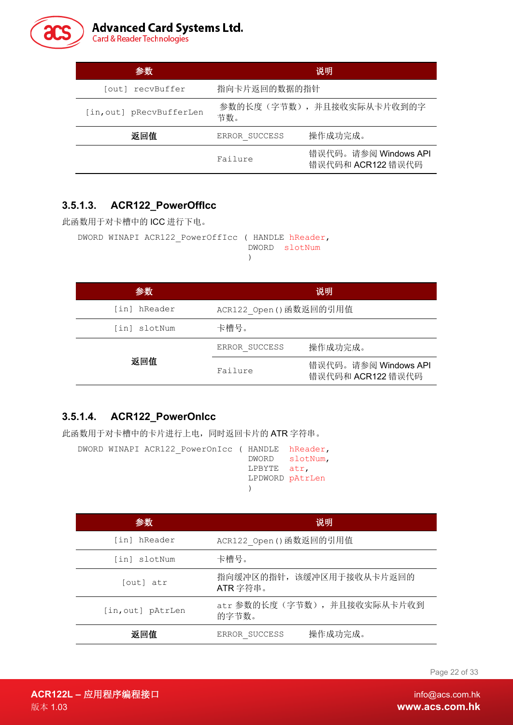

| 参数                       | 说明            |                                           |  |
|--------------------------|---------------|-------------------------------------------|--|
| outl recvBuffer          | 指向卡片返回的数据的指针  |                                           |  |
| [in, out] pRecvBufferLen | 节数。           | 参数的长度(字节数), 并且接收实际从卡片收到的字                 |  |
| 返回值                      | ERROR SUCCESS | 操作成功完成。                                   |  |
|                          | Failure       | 错误代码。请参阅 Windows API<br>错误代码和 ACR122 错误代码 |  |

### **3.5.1.3. ACR122\_PowerOffIcc**

此函数用于对卡槽中的 ICC 进行下电。

```
DWORD WINAPI ACR122_PowerOffIcc ( HANDLE hReader,
                                DWORD slotNum
```
 $\lambda$ 

| 参数           |                         | 说明                                        |  |
|--------------|-------------------------|-------------------------------------------|--|
| [in] hReader | ACR122 Open () 函数返回的引用值 |                                           |  |
| [in] slotNum | 卡槽号。                    |                                           |  |
|              | ERROR SUCCESS           | 操作成功完成。                                   |  |
| 返回值          | Failure                 | 错误代码。请参阅 Windows API<br>错误代码和 ACR122 错误代码 |  |

### **3.5.1.4. ACR122\_PowerOnIcc**

此函数用于对卡槽中的卡片进行上电,同时返回卡片的 ATR 字符串。

```
DWORD WINAPI ACR122_PowerOnIcc ( HANDLE hReader,
                                DWORD slotNum,
                                LPBYTE atr,
                                LPDWORD pAtrLen
                                )
```

| 参数                | 说明                                   |  |  |
|-------------------|--------------------------------------|--|--|
| [in] hReader      | ACR122 Open () 函数返回的引用值              |  |  |
| [in] slotNum      | 卡槽号。                                 |  |  |
| [out] atr         | 指向缓冲区的指针, 该缓冲区用于接收从卡片返回的<br>ATR字符串。  |  |  |
| [in, out] pAtrLen | atr 参数的长度(字节数), 并且接收实际从卡片收到<br>的字节数。 |  |  |
| 返回值               | 操作成功完成。<br>ERROR SUCCESS             |  |  |

Page 22 of 33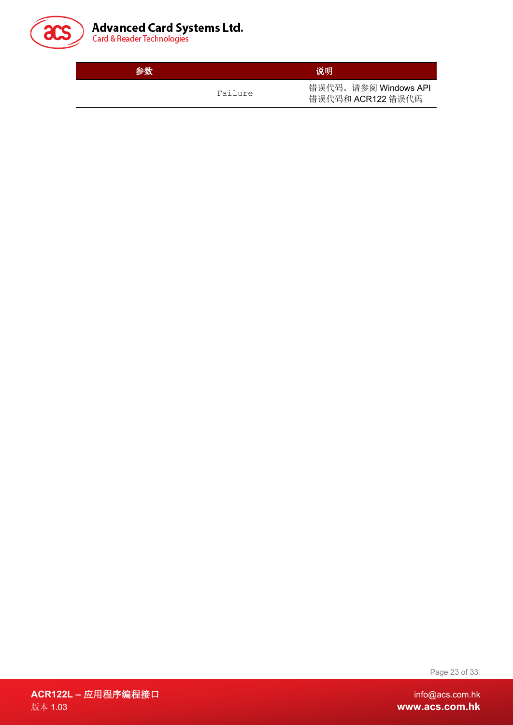

| <b>Advanced Card Systems Ltd.</b> |  |  |
|-----------------------------------|--|--|
| Card & Reader Technologies        |  |  |

参数 说明 Failure 错误代码。请参阅 Windows API 错误代码和 ACR122 错误代码

Page 23 of 33

**ACR122L –** 应用程序编程接口 info@acs.com.hk 版本 1.03 **www.acs.com.hk**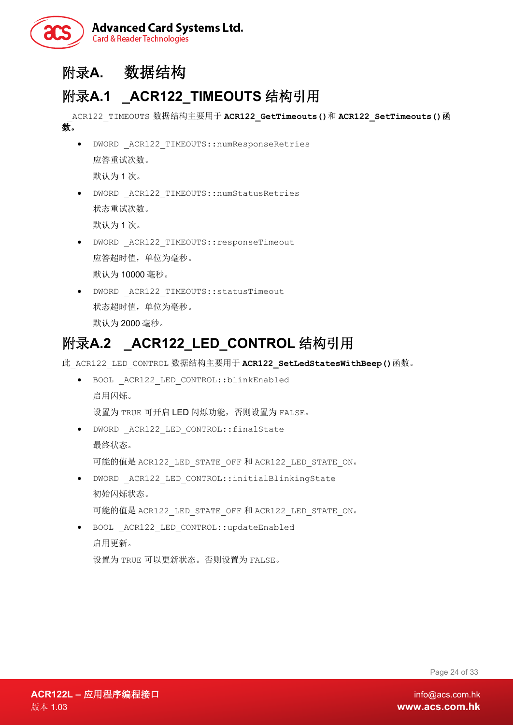

# <span id="page-23-0"></span>附录**A.** 数据结构

# <span id="page-23-1"></span>附录**A.1 \_ACR122\_TIMEOUTS** 结构引用

\_ACR122\_TIMEOUTS 数据结构主要用于 **ACR122\_GetTimeouts()**和 **ACR122\_SetTimeouts()**函 数。

- DWORD \_ACR122\_TIMEOUTS::numResponseRetries 应答重试次数。 默认为 1 次。
- DWORD \_ACR122\_TIMEOUTS::numStatusRetries 状态重试次数。 默认为 1 次。
- DWORD \_ACR122\_TIMEOUTS::responseTimeout 应答超时值,单位为毫秒。 默认为 10000 毫秒。
- DWORD \_ACR122\_TIMEOUTS::statusTimeout 状态超时值,单位为毫秒。 默认为 2000 毫秒。

# <span id="page-23-2"></span>附录**A.2 \_ACR122\_LED\_CONTROL** 结构引用

此\_ACR122\_LED\_CONTROL 数据结构主要用于 **ACR122\_SetLedStatesWithBeep()**函数。

- BOOL \_ACR122\_LED\_CONTROL::blinkEnabled 启用闪烁。 设置为 TRUE 可开启 LED 闪烁功能, 否则设置为 FALSE。 • DWORD \_ACR122\_LED\_CONTROL::finalState
- 最终状态。 可能的值是 ACR122\_LED\_STATE\_OFF 和 ACR122\_LED\_STATE\_ON。
- DWORD \_ACR122\_LED\_CONTROL::initialBlinkingState 初始闪烁状态。 可能的值是 ACR122\_LED\_STATE\_OFF 和 ACR122\_LED\_STATE\_ON。
- BOOL \_ACR122\_LED\_CONTROL::updateEnabled 启用更新。 设置为 TRUE 可以更新状态。否则设置为 FALSE。

Page 24 of 33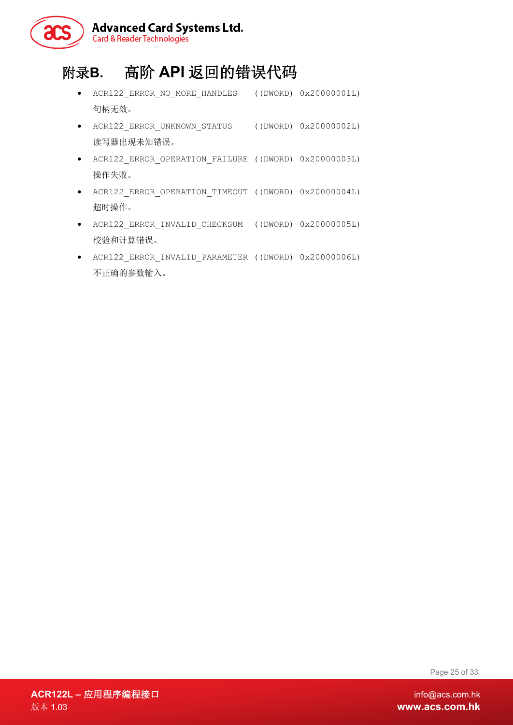

# <span id="page-24-0"></span>附录**B.** 高阶 **API** 返回的错误代码

- ACR122\_ERROR\_NO\_MORE\_HANDLES ((DWORD) 0x20000001L) 句柄无效。
- ACR122\_ERROR\_UNKNOWN\_STATUS ((DWORD) 0x20000002L) 读写器出现未知错误。
- ACR122\_ERROR\_OPERATION\_FAILURE ((DWORD) 0x20000003L) 操作失败。
- ACR122\_ERROR\_OPERATION\_TIMEOUT ((DWORD) 0x20000004L) 超时操作。
- ACR122\_ERROR\_INVALID\_CHECKSUM ((DWORD) 0x20000005L) 校验和计算错误。
- ACR122\_ERROR\_INVALID\_PARAMETER ((DWORD) 0x20000006L) 不正确的参数输入。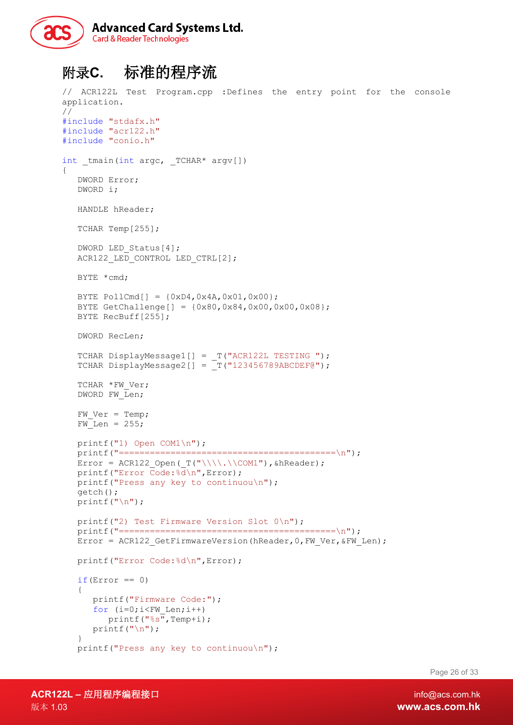

# <span id="page-25-0"></span>附录**C.** 标准的程序流

```
// ACR122L Test Program.cpp :Defines the entry point for the console 
application.
//
#include "stdafx.h"
#include "acr122.h"
#include "conio.h"
int tmain(int argc, TCHAR* argv[])
{
   DWORD Error;
   DWORD i;
   HANDLE hReader;
   TCHAR Temp[255];
   DWORD LED Status[4];
   ACR122_LED_CONTROL LED_CTRL[2];
   BYTE *cmd;
   BYTE PollCmd[] = {0xD4, 0x4A, 0x01, 0x00};BYTE GetChallenge[] = {0x80,0x84,0x00,0x00,0x08};
   BYTE RecBuff[255];
   DWORD RecLen;
   TCHAR DisplayMessage1[] = _T("ACR122L TESTING ");
   TCHAR DisplayMessage2[] = T(T123456789ABCDEF@");
   TCHAR *FW Ver;
   DWORD FW Len;
   FW Ver = Temp;
   FW<sub>Len</sub> = 255;printf("1) Open COM1\n");
   printf("==========================================\n");
   Error = ACR122 Open(T("\\\\\\.\\\COM1"), &hReader);
   printf("Error Code:%d\n",Error);
   printf("Press any key to continuou\n");
   getch();
   printf("\n\overline{\n}");
   printf("2) Test Firmware Version Slot 0 \n\cdot \n\cdot);
   printf("==========================================\n");
   Error = ACR122 GetFirmwareVersion(hReader, 0, FW Ver, &FW Len);
   printf("Error Code:%d\n",Error);
   if(Error == 0)\left\{ \right.printf("Firmware Code:");
      for (i=0; i < FW Len; i++)
         printf("%s", Temp+i);
      printf("n");
   }
   printf("Press any key to continuou\n");
```
Page 26 of 33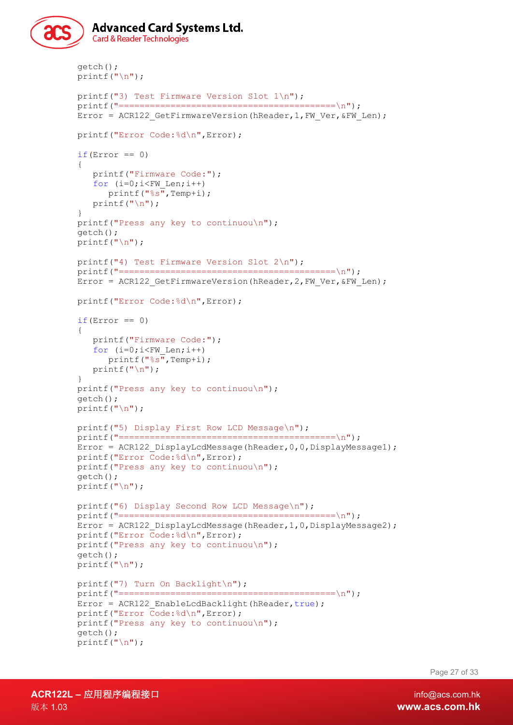```
Advanced Card Systems Ltd.
   Card & Reader Technologies
getch();
printf("n");
printf("3) Test Firmware Version Slot 1\n");
printf("==========================================\n");
Error = ACR122 GetFirmwareVersion(hReader, 1, FW Ver, &FW Len);
printf("Error Code:%d\n",Error);
if(Error == 0){
   printf("Firmware Code:");
   for (i=0; i < FW Len; i++)
      printf("%s",Temp+i);
   printf("n");
}
printf("Press any key to continuou\n");
getch();
printf("n");
printf("4) Test Firmware Version Slot 2\n");
printf("==========================================\n");
Error = ACR122 GetFirmwareVersion(hReader, 2, FW Ver, &FW Len);
printf("Error Code:%d\n",Error);
if(Error == 0)
{
   printf("Firmware Code:");
   for (i=0; i < FW Len; i++)
     printf("%s",Temp+i);
   printf("n");
}
printf("Press any key to continuou\n");
getch();
printf("n");
printf("5) Display First Row LCD Message\n");
printf("==========================================\n");
Error = ACR122_DisplayLcdMessage(hReader,0,0,DisplayMessage1);
printf("Error Code:%d\n",Error);
printf("Press any key to continuou\n");
getch();
printf("n");
printf("6) Display Second Row LCD Message\n");
printf("==========================================\n");
Error = ACR122 DisplayLcdMessage(hReader,1,0,DisplayMessage2);
printf("Error Code:%d\n",Error);
printf("Press any key to continuou\n");
getch();
printf("n");
printf("7) Turn On Backlight\n");
printf("==========================================\n");
Error = ACR122 EnableLcdBacklight(hReader,true);
printf("Error Code:%d\n",Error);
printf("Press any key to continuou\n");
getch();
printf("n");
```
Page 27 of 33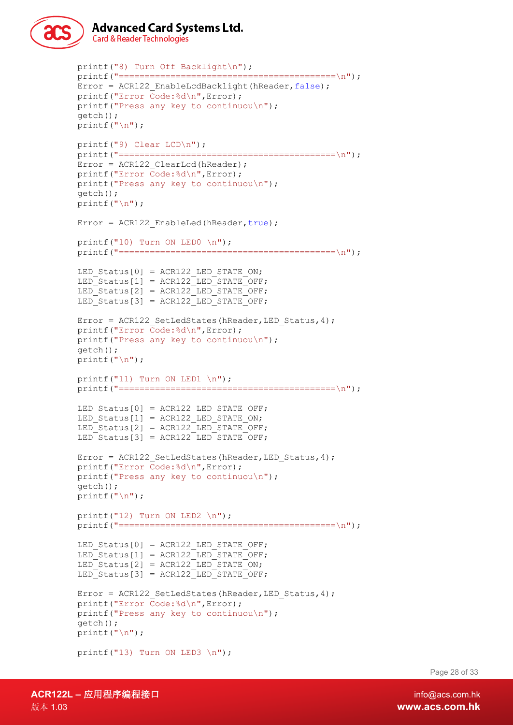```
Advanced Card Systems Ltd.
Card & Reader Technologies
```

```
printf("8) Turn Off Backlight\n");
printf("==========================================\n");
Error = ACR122 EnableLcdBacklight(hReader, false);
printf("Error Code:%d\n",Error);
printf("Press any key to continuou\n");
getch();
printf(''\n'');
printf("9) Clear LCD\n");
printf("==========================================\n");
Error = ACR122_ClearLcd(hReader);
printf("Error Code:%d\n",Error);
printf("Press any key to continuou\n");
getch();
printf("n");
Error = ACR122 EnableLed(hReader, true);
printf("10) Turn ON LEDO \n\times");
printf("==========================================\n");
LED Status[0] = ACR122 LED STATE ON;
LED Status[1] = ACR122 LED STATE OFF;
LED Status[2] = ACR122 LED STATE OFF;
LED Status[3] = ACR122 LED STATE OFF;
Error = ACR122 SetLedStates(hReader, LED Status, 4);
printf("Error Code:%d\n",Error);
printf("Press any key to continuou\n");
getch();
printf(''\n'');
printf("11) Turn ON LED1 \n\times");
printf(' == == == == == == == == == == == == == == \n'LED Status[0] = ACR122 LED STATE OFF;
LED Status[1] = ACR122 LED STATE ON;
LED_Status[2] = ACR122 LED_STATE OFF;
LED Status[3] = ACR122 LED STATE OFF;
Error = ACR122 SetLedStates(hReader, LED Status, 4);
printf("Error Code:%d\n",Error);
printf("Press any key to continuou\n");
getch();
printf("\n");
printf("12) Turn ON LED2 \n\times");
printf("==========================================\n");
LED Status[0] = ACR122 LED STATE OFF;
LED_Status[1] = ACR122 LED_STATE OFF;
LED<sup></sup>Status[2] = ACR122<sup>T</sup>LED<sup>T</sup>STATE<sup>T</sup>ON;
LED\_Status[3] = ACR122 \_LED\_STATE\_OFF;Error = ACR122 SetLedStates(hReader, LED Status, 4);
printf("Error Code:%d\n",Error);
printf("Press any key to continuou\n");
getch();
printf("n");
printf("13) Turn ON LED3 \n\times");
```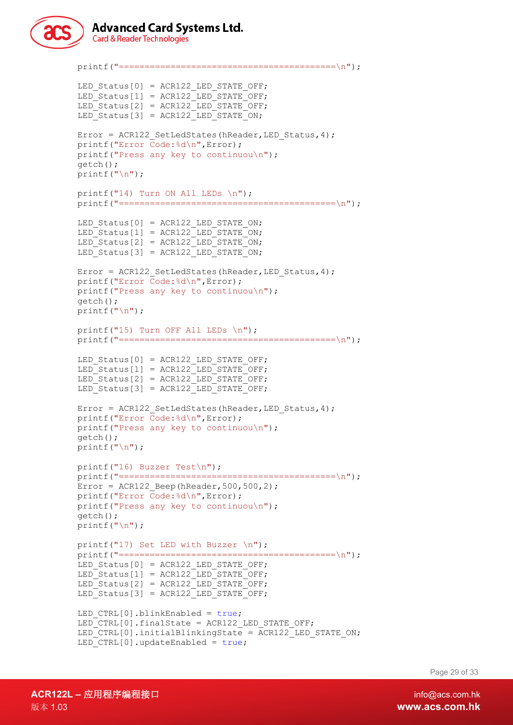

**Advanced Card Systems Ltd. Card & Reader Technologies** 

```
printf("==========================================\n");
LED Status[0] = ACR122 LED STATE OFF;
LED_Status[1] = ACR122_LED_STATE_OFF;
LED Status[2] = ACR122 LED STATE OFF;
LED Status[3] = ACR122 LED STATE ON;
Error = ACR122 SetLedStates(hReader, LED Status, 4);
printf("Error Code:%d\n",Error);
printf("Press any key to continuou\n");
getch();
printf("\n");
printf("14) Turn ON All LEDs \langle n" \rangle;
printf("==========================================\n");
LED Status[0] = ACR122 LED STATE ON;
LED Status[1] = ACR122 LED STATE ON;
LED Status[2] = ACR122 LED STATE ON;
LED Status[3] = ACR122 LED STATE ON;
Error = ACR122 SetLedStates(hReader, LED Status, 4);
printf("Error Code:%d\n",Error);
printf("Press any key to continuou\n");
getch();
printf("n");
printf("15) Turn OFF All LEDs \n");
printf("==========================================\n");
LED Status[0] = ACR122 LED STATE OFF;
LED Status[1] = ACR122 LED STATE OFF;
LED Status[2] = ACR122 LED STATE OFF;
LED Status[3] = ACR122 LED STATE OFF;
Error = ACR122 SetLedStates(hReader, LED Status, 4);
printf("Error Code:%d\n",Error);
printf("Press any key to continuou\n");
getch();
printf("n");
printf("16) Buzzer Test\n");
printf("==========================================\n");
Error = ACR122 Beep(hReader, 500, 500, 2);
printf("Error Code:%d\n",Error);
printf("Press any key to continuou\n");
getch();
printf("\n");
printf("17) Set LED with Buzzer \n");
printf("==========================================\n");
LED Status[0] = ACR122 LED STATE OFF;
LEDStatus[1] = ACR122 LED STATE OFF;
LED_Status[2] = ACR122 LED_STATE OFF;
LED Status[3] = ACR122 LED STATE OFF;
LED CTRL[0].blinkEnabled = true;
LED CTRL[0].finalState = ACR122 LED STATE OFF;
LED CTRL[0].initialBlinkingState = ACR122 LED STATE ON;
LED CTRL[0].updateEnabled = true;
```
Page 29 of 33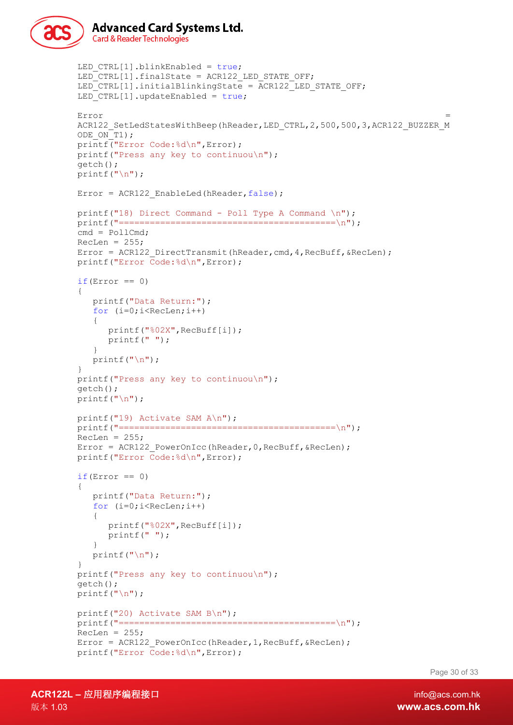```
Advanced Card Systems Ltd.
   Card & Reader Technologies
LED CTRL[1].blinkEnabled = true;
LED CTRL[1].finalState = ACR122 LED STATE OFF;
LED CTRL[1].initialBlinkingState = ACR122 LED STATE OFF;
LED CTRL[1].updateEnabled = true;
ODE ON T1);
printf("Error Code:%d\n",Error);
printf("Press any key to continuou\n");
getch();
```

```
Error = the contract of the contract of the contract of the contract of the contract of the contract of the contract of the contract of the contract of the contract of the contract of the contract of the contract of the co
ACR122_SetLedStatesWithBeep(hReader,LED_CTRL,2,500,500,3,ACR122_BUZZER_M
printf("\n");
Error = ACR122 EnableLed(hReader, false);
printf("18) Direct Command - Poll Type A Command \n\cdot");
printf("==========================================\n");
cmd = Po11Cmd:RecLen = 255:
Error = ACR122 DirectTransmit(hReader, cmd, 4, RecBuff, &RecLen);
printf("Error Code:%d\n",Error);
if(Error == 0){
   printf("Data Return:");
   for (i=0;i<RecLen;i++)
    {
       printf("%02X",RecBuff[i]);
       printf(" ");
   }
   printf("\n\ranglen");
}
printf("Press any key to continuou\n");
getch();
printf("n");
printf("19) Activate SAM A\n");
printf("-----|x| = 1RecLen = 255;Error = ACR122 PowerOnIcc(hReader, 0, RecBuff, &RecLen);
printf("Error Code:%d\n",Error);
if(Error == 0){
   printf("Data Return:");
   for (i=0;i<RecLen;i++)
    {
       printf("%02X",RecBuff[i]);
       printf(" ");
   }
   printf("n");
}
printf("Press any key to continuou\n");
getch();
printf("n");
printf("20) Activate SAM B\n");
printf("==========================================\n");
RecLen = 255;
```
Error = ACR122 PowerOnIcc(hReader, 1, RecBuff, &RecLen);

printf("Error Code:%d\n",Error);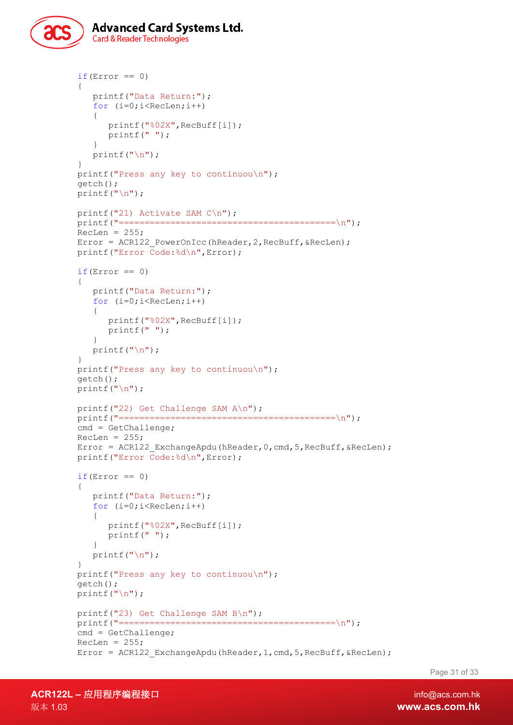

```
if(Error == 0)
{
   printf("Data Return:");
   for (i=0; i <RecLen; i++)
   {
      printf("%02X",RecBuff[i]);
      printf(" ");
   }
   printf("n");
}
printf("Press any key to continuou\n");
getch();
printf("n");
printf("21) Activate SAM C\n");
printf("------------------------------ 1);
RecLen = 255;Error = ACR122 PowerOnIcc(hReader, 2, RecBuff, &RecLen);
printf("Error Code:%d\n",Error);
if(Error == 0)
{
   printf("Data Return:");
   for (i=0;i<RecLen;i++)
   {
      printf("%02X",RecBuff[i]);
      printf(" ");
   }
   printf("\n\langle");
}
printf("Press any key to continuou\n");
getch();
printf("n");
printf("22) Get Challenge SAM A\n");
print(f("-----11111000; x)cmd = GetChallenge;
RecLen = 255;Error = ACR122 ExchangeApdu(hReader, 0, cmd, 5, RecBuff, &RecLen);
printf("Error Code:%d\n",Error);
if(Error == 0){
   printf("Data Return:");
   for (i=0; i <RecLen; i++)
   {
      printf("%02X",RecBuff[i]);
      printf(" ");
   }
   printf("n");
}
printf("Press any key to continuou\n");
getch();
printf("n");
printf("23) Get Challenge SAM B\n");
printf("==========================================\n");
cmd = GetChallenge;
RecLen = 255;Error = ACR122 ExchangeApdu(hReader, 1, cmd, 5, RecBuff, &RecLen);
```
Page 31 of 33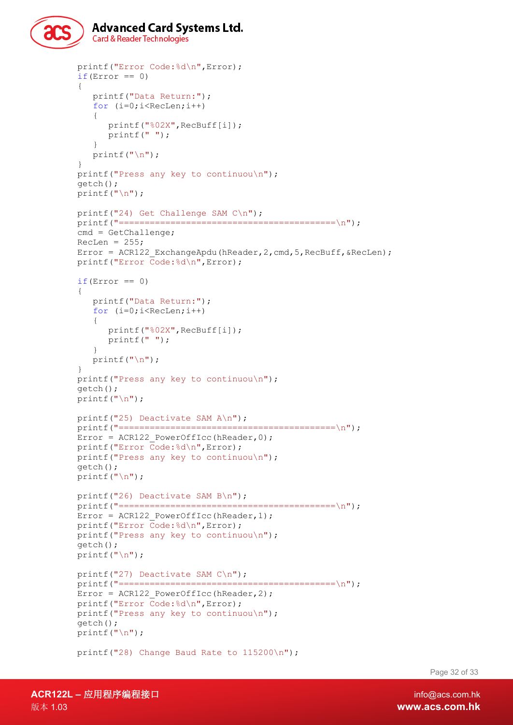

```
printf("Error Code:%d\n",Error);
if(Error == 0)
{
   printf("Data Return:");
   for (i=0; i <RecLen; i++)
   {
      printf("%02X",RecBuff[i]);
      printf(" ");
   }
   print(f("\n^n);}
printf("Press any key to continuou\n");
getch();
printf("n");
printf("24) Get Challenge SAM C\n");
printf("------------------------------ 1);
cmd = GetChallenge;
RecLen = 255;Error = ACR122 ExchangeApdu(hReader, 2, cmd, 5, RecBuff, &RecLen);
printf("Error Code:%d\n",Error);
if(Error == 0){
   printf("Data Return:");
   for (i=0;i<RecLen;i++)
   {
      printf("%02X",RecBuff[i]);
      printf(" ");
   }
   printf("\n\langle");
}
printf("Press any key to continuou\n");
getch();
printf("n");
printf("25) Deactivate SAM A\n");
printf("==========================================\n");
Error = ACR122 PowerOffIcc(hReader, 0);
printf("Error Code:%d\n",Error);
printf("Press any key to continuou\n");
getch();
printf("n");
printf("26) Deactivate SAM B\n");
printf("==========================================\n");
Error = ACR122 PowerOffIcc(hReader, 1);
printf("Error Code:%d\n",Error);
printf("Press any key to continuou\n");
getch();
printf("n");
printf("27) Deactivate SAM C\n");
printf("==========================================\n");
Error = ACR122 PowerOffIcc(hReader, 2);
printf("Error Code:%d\n",Error);
printf("Press any key to continuou\n");
getch();
printf(''\n'');
printf("28) Change Baud Rate to 115200\n");
```
Page 32 of 33